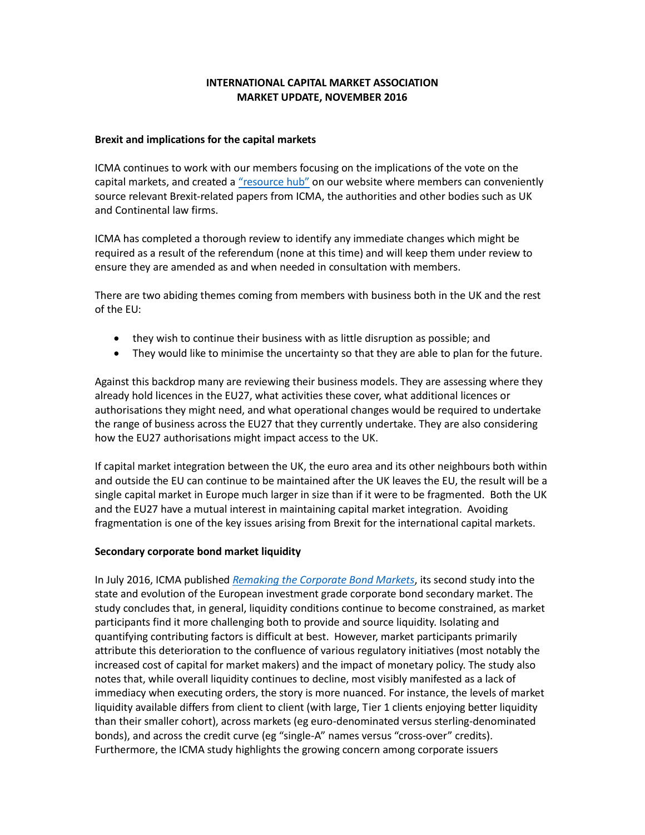# **INTERNATIONAL CAPITAL MARKET ASSOCIATION MARKET UPDATE, NOVEMBER 2016**

### **Brexit and implications for the capital markets**

ICMA continues to work with our members focusing on the implications of the vote on the capital markets, and created a ["resource hub"](http://www.icmagroup.org/Regulatory-Policy-and-Market-Practice/brexit-implications-for-icma-members-of-the-uk-vote-to-leave-the-eu/) on our website where members can conveniently source relevant Brexit-related papers from ICMA, the authorities and other bodies such as UK and Continental law firms.

ICMA has completed a thorough review to identify any immediate changes which might be required as a result of the referendum (none at this time) and will keep them under review to ensure they are amended as and when needed in consultation with members.

There are two abiding themes coming from members with business both in the UK and the rest of the EU:

- they wish to continue their business with as little disruption as possible; and
- They would like to minimise the uncertainty so that they are able to plan for the future.

Against this backdrop many are reviewing their business models. They are assessing where they already hold licences in the EU27, what activities these cover, what additional licences or authorisations they might need, and what operational changes would be required to undertake the range of business across the EU27 that they currently undertake. They are also considering how the EU27 authorisations might impact access to the UK.

If capital market integration between the UK, the euro area and its other neighbours both within and outside the EU can continue to be maintained after the UK leaves the EU, the result will be a single capital market in Europe much larger in size than if it were to be fragmented. Both the UK and the EU27 have a mutual interest in maintaining capital market integration. Avoiding fragmentation is one of the key issues arising from Brexit for the international capital markets.

#### **Secondary corporate bond market liquidity**

In July 2016, ICMA published *[Remaking the Corporate Bond Markets](https://www.google.co.uk/url?sa=t&rct=j&q=&esrc=s&source=web&cd=2&cad=rja&uact=8&ved=0ahUKEwjj3ce5kLfPAhVlBcAKHTkTAsYQFggqMAE&url=http%3A%2F%2Fwww.icmagroup.org%2Fassets%2Fdocuments%2FRegulatory%2FSecondary-markets%2FRemaking-the-Corporate-Bond-Market-250716.pdf&usg=AFQjCNFVJVL8f6sCmvK3J2lSVo2V1kawag&bvm=bv.134495766,d.d24)*, its second study into the state and evolution of the European investment grade corporate bond secondary market. The study concludes that, in general, liquidity conditions continue to become constrained, as market participants find it more challenging both to provide and source liquidity. Isolating and quantifying contributing factors is difficult at best. However, market participants primarily attribute this deterioration to the confluence of various regulatory initiatives (most notably the increased cost of capital for market makers) and the impact of monetary policy. The study also notes that, while overall liquidity continues to decline, most visibly manifested as a lack of immediacy when executing orders, the story is more nuanced. For instance, the levels of market liquidity available differs from client to client (with large, Tier 1 clients enjoying better liquidity than their smaller cohort), across markets (eg euro-denominated versus sterling-denominated bonds), and across the credit curve (eg "single-A" names versus "cross-over" credits). Furthermore, the ICMA study highlights the growing concern among corporate issuers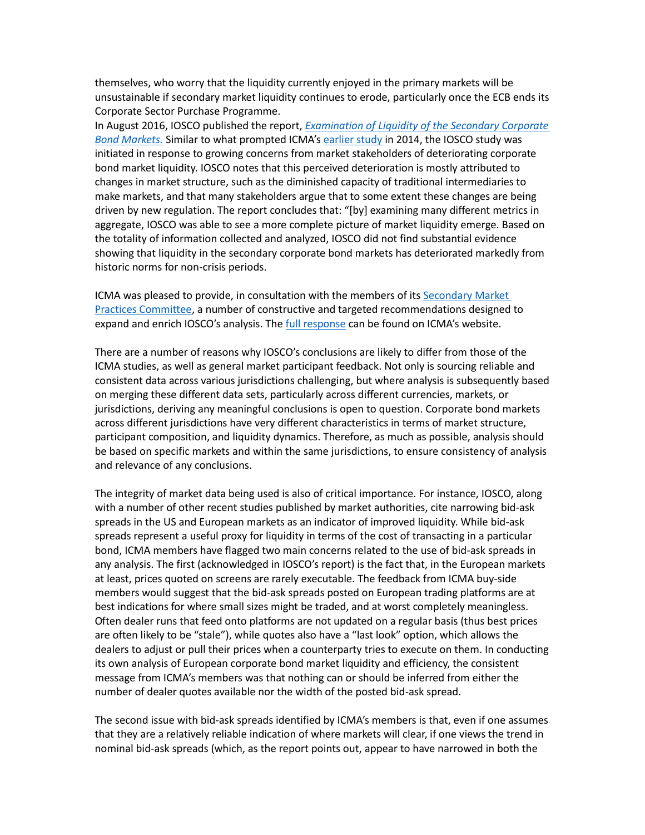themselves, who worry that the liquidity currently enjoyed in the primary markets will be unsustainable if secondary market liquidity continues to erode, particularly once the ECB ends its Corporate Sector Purchase Programme.

In August 2016, IOSCO published the report, *[Examination of Liquidity of the Secondary Corporate](https://www.google.co.uk/url?sa=t&rct=j&q=&esrc=s&source=web&cd=1&cad=rja&uact=8&ved=0ahUKEwii8LLkkLfPAhUIOsAKHaqeBSUQFggmMAA&url=https%3A%2F%2Fwww.iosco.org%2Flibrary%2Fpubdocs%2Fpdf%2FIOSCOPD537.pdf&usg=AFQjCNF4Wpr6YmaEuDeeszo-X6ye7_dF3Q&bvm=bv.134495766,d.d24)  [Bond Markets.](https://www.google.co.uk/url?sa=t&rct=j&q=&esrc=s&source=web&cd=1&cad=rja&uact=8&ved=0ahUKEwii8LLkkLfPAhUIOsAKHaqeBSUQFggmMAA&url=https%3A%2F%2Fwww.iosco.org%2Flibrary%2Fpubdocs%2Fpdf%2FIOSCOPD537.pdf&usg=AFQjCNF4Wpr6YmaEuDeeszo-X6ye7_dF3Q&bvm=bv.134495766,d.d24)* Similar to what prompted ICMA's [earlier study](https://www.google.co.uk/url?sa=t&rct=j&q=&esrc=s&source=web&cd=3&cad=rja&uact=8&ved=0ahUKEwji0cqEkbfPAhXnCsAKHYwFCH4QFggvMAI&url=http%3A%2F%2Fwww.icmagroup.org%2Fassets%2Fdocuments%2FRegulatory%2FSecondary-markets%2FThe-state-of-the-European-investment-grade-corporate-bond-secondary-market_ICMA-SMPC_Report-251114-Final3.pdf&usg=AFQjCNGZ6bm3mqSRd6pDH03uD005oaq7tA&bvm=bv.134495766,d.d24) in 2014, the IOSCO study was initiated in response to growing concerns from market stakeholders of deteriorating corporate bond market liquidity. IOSCO notes that this perceived deterioration is mostly attributed to changes in market structure, such as the diminished capacity of traditional intermediaries to make markets, and that many stakeholders argue that to some extent these changes are being driven by new regulation. The report concludes that: "[by] examining many different metrics in aggregate, IOSCO was able to see a more complete picture of market liquidity emerge. Based on the totality of information collected and analyzed, IOSCO did not find substantial evidence showing that liquidity in the secondary corporate bond markets has deteriorated markedly from historic norms for non-crisis periods.

ICMA was pleased to provide, in consultation with the members of its [Secondary Market](http://www.icmagroup.org/Regulatory-Policy-and-Market-Practice/Secondary-Markets/icma-secondary-market-practices-committee/)  [Practices Committee,](http://www.icmagroup.org/Regulatory-Policy-and-Market-Practice/Secondary-Markets/icma-secondary-market-practices-committee/) a number of constructive and targeted recommendations designed to expand and enrich IOSCO's analysis. The [full response](http://www.icmagroup.org/assets/documents/Regulatory/Secondary-markets/ICMA_IOSCO-corporate-bond-market-liquidity_Consultation-Response_Final-031016.pdf) can be found on ICMA's website.

There are a number of reasons why IOSCO's conclusions are likely to differ from those of the ICMA studies, as well as general market participant feedback. Not only is sourcing reliable and consistent data across various jurisdictions challenging, but where analysis is subsequently based on merging these different data sets, particularly across different currencies, markets, or jurisdictions, deriving any meaningful conclusions is open to question. Corporate bond markets across different jurisdictions have very different characteristics in terms of market structure, participant composition, and liquidity dynamics. Therefore, as much as possible, analysis should be based on specific markets and within the same jurisdictions, to ensure consistency of analysis and relevance of any conclusions.

The integrity of market data being used is also of critical importance. For instance, IOSCO, along with a number of other recent studies published by market authorities, cite narrowing bid-ask spreads in the US and European markets as an indicator of improved liquidity. While bid-ask spreads represent a useful proxy for liquidity in terms of the cost of transacting in a particular bond, ICMA members have flagged two main concerns related to the use of bid-ask spreads in any analysis. The first (acknowledged in IOSCO's report) is the fact that, in the European markets at least, prices quoted on screens are rarely executable. The feedback from ICMA buy-side members would suggest that the bid-ask spreads posted on European trading platforms are at best indications for where small sizes might be traded, and at worst completely meaningless. Often dealer runs that feed onto platforms are not updated on a regular basis (thus best prices are often likely to be "stale"), while quotes also have a "last look" option, which allows the dealers to adjust or pull their prices when a counterparty tries to execute on them. In conducting its own analysis of European corporate bond market liquidity and efficiency, the consistent message from ICMA's members was that nothing can or should be inferred from either the number of dealer quotes available nor the width of the posted bid-ask spread.

The second issue with bid-ask spreads identified by ICMA's members is that, even if one assumes that they are a relatively reliable indication of where markets will clear, if one views the trend in nominal bid-ask spreads (which, as the report points out, appear to have narrowed in both the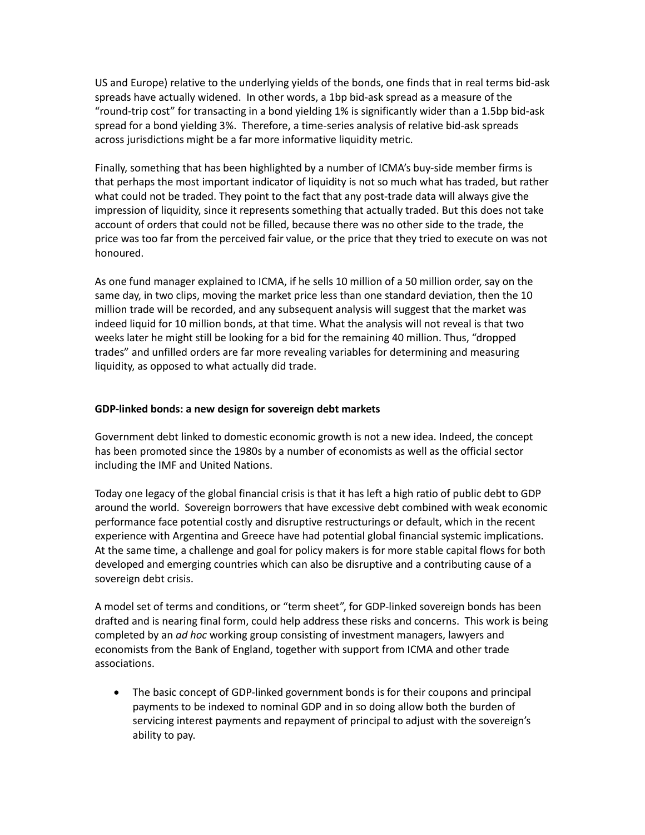US and Europe) relative to the underlying yields of the bonds, one finds that in real terms bid-ask spreads have actually widened. In other words, a 1bp bid-ask spread as a measure of the "round-trip cost" for transacting in a bond yielding 1% is significantly wider than a 1.5bp bid-ask spread for a bond yielding 3%. Therefore, a time-series analysis of relative bid-ask spreads across jurisdictions might be a far more informative liquidity metric.

Finally, something that has been highlighted by a number of ICMA's buy-side member firms is that perhaps the most important indicator of liquidity is not so much what has traded, but rather what could not be traded. They point to the fact that any post-trade data will always give the impression of liquidity, since it represents something that actually traded. But this does not take account of orders that could not be filled, because there was no other side to the trade, the price was too far from the perceived fair value, or the price that they tried to execute on was not honoured.

As one fund manager explained to ICMA, if he sells 10 million of a 50 million order, say on the same day, in two clips, moving the market price less than one standard deviation, then the 10 million trade will be recorded, and any subsequent analysis will suggest that the market was indeed liquid for 10 million bonds, at that time. What the analysis will not reveal is that two weeks later he might still be looking for a bid for the remaining 40 million. Thus, "dropped trades" and unfilled orders are far more revealing variables for determining and measuring liquidity, as opposed to what actually did trade.

## **GDP-linked bonds: a new design for sovereign debt markets**

Government debt linked to domestic economic growth is not a new idea. Indeed, the concept has been promoted since the 1980s by a number of economists as well as the official sector including the IMF and United Nations.

Today one legacy of the global financial crisis is that it has left a high ratio of public debt to GDP around the world. Sovereign borrowers that have excessive debt combined with weak economic performance face potential costly and disruptive restructurings or default, which in the recent experience with Argentina and Greece have had potential global financial systemic implications. At the same time, a challenge and goal for policy makers is for more stable capital flows for both developed and emerging countries which can also be disruptive and a contributing cause of a sovereign debt crisis.

A model set of terms and conditions, or "term sheet", for GDP-linked sovereign bonds has been drafted and is nearing final form, could help address these risks and concerns. This work is being completed by an *ad hoc* working group consisting of investment managers, lawyers and economists from the Bank of England, together with support from ICMA and other trade associations.

 The basic concept of GDP-linked government bonds is for their coupons and principal payments to be indexed to nominal GDP and in so doing allow both the burden of servicing interest payments and repayment of principal to adjust with the sovereign's ability to pay.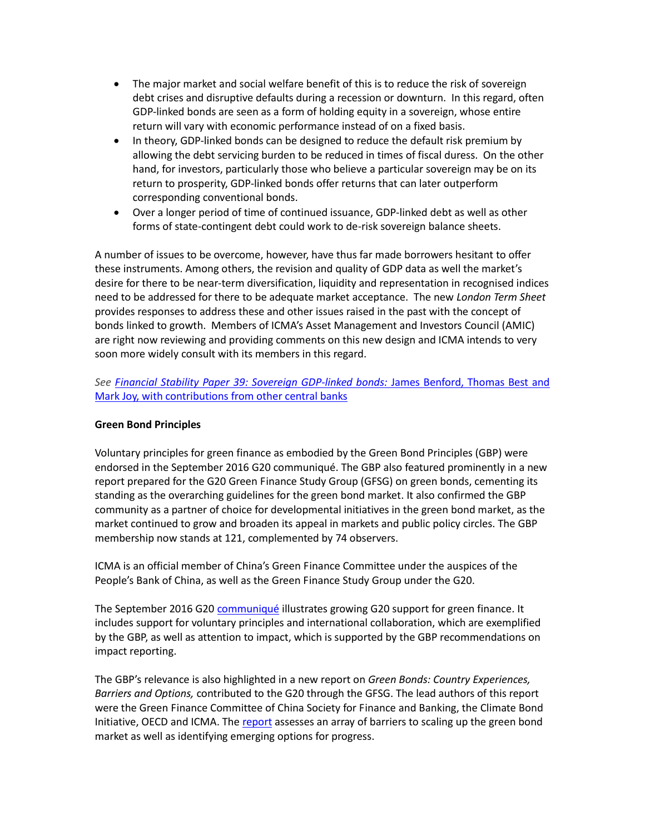- The major market and social welfare benefit of this is to reduce the risk of sovereign debt crises and disruptive defaults during a recession or downturn. In this regard, often GDP-linked bonds are seen as a form of holding equity in a sovereign, whose entire return will vary with economic performance instead of on a fixed basis.
- In theory, GDP-linked bonds can be designed to reduce the default risk premium by allowing the debt servicing burden to be reduced in times of fiscal duress. On the other hand, for investors, particularly those who believe a particular sovereign may be on its return to prosperity, GDP-linked bonds offer returns that can later outperform corresponding conventional bonds.
- Over a longer period of time of continued issuance, GDP-linked debt as well as other forms of state-contingent debt could work to de-risk sovereign balance sheets.

A number of issues to be overcome, however, have thus far made borrowers hesitant to offer these instruments. Among others, the revision and quality of GDP data as well the market's desire for there to be near-term diversification, liquidity and representation in recognised indices need to be addressed for there to be adequate market acceptance. The new *London Term Sheet*  provides responses to address these and other issues raised in the past with the concept of bonds linked to growth. Members of ICMA's Asset Management and Investors Council (AMIC) are right now reviewing and providing comments on this new design and ICMA intends to very soon more widely consult with its members in this regard.

*See [Financial Stability Paper 39: Sovereign GDP-linked bonds:](http://www.bankofengland.co.uk/financialstability/Pages/fpc/fspapers/fs_paper39.aspx)* James Benford, Thomas Best and [Mark Joy, with contributions from other central banks](http://www.bankofengland.co.uk/financialstability/Pages/fpc/fspapers/fs_paper39.aspx)

## **Green Bond Principles**

Voluntary principles for green finance as embodied by the Green Bond Principles (GBP) were endorsed in the September 2016 G20 communiqué. The GBP also featured prominently in a new report prepared for the G20 Green Finance Study Group (GFSG) on green bonds, cementing its standing as the overarching guidelines for the green bond market. It also confirmed the GBP community as a partner of choice for developmental initiatives in the green bond market, as the market continued to grow and broaden its appeal in markets and public policy circles. The GBP membership now stands at 121, complemented by 74 observers.

ICMA is an official member of China's Green Finance Committee under the auspices of the People's Bank of China, as well as the Green Finance Study Group under the G20.

The September 2016 G20 [communiqué](http://www.g20.org/English/Dynamic/201609/t20160906_3396.html) illustrates growing G20 support for green finance. It includes support for voluntary principles and international collaboration, which are exemplified by the GBP, as well as attention to impact, which is supported by the GBP recommendations on impact reporting.

The GBP's relevance is also highlighted in a new report on *Green Bonds: Country Experiences, Barriers and Options,* contributed to the G20 through the GFSG. The lead authors of this report were the Green Finance Committee of China Society for Finance and Banking, the Climate Bond Initiative, OECD and ICMA. The [report](http://unepinquiry.us13.list-manage1.com/track/click?u=58ea753a7088d51e6d7da81c2&id=9a133dafd6&e=54287c1365) assesses an array of barriers to scaling up the green bond market as well as identifying emerging options for progress.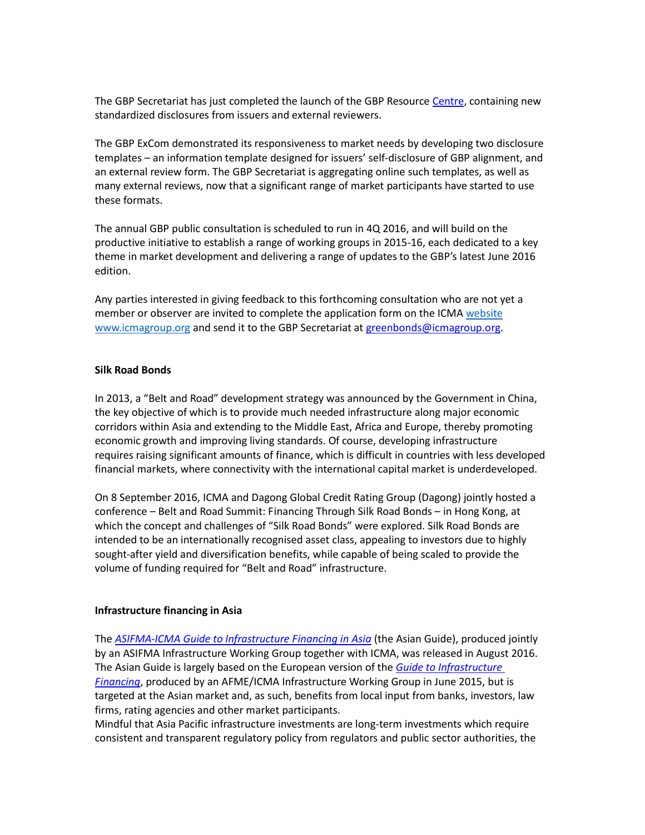The GBP Secretariat has just completed the launch of the GBP Resourc[e Centre,](http://www.icmagroup.org/Regulatory-Policy-and-Market-Practice/green-bonds/gbp-resource-centre/) containing new standardized disclosures from issuers and external reviewers.

The GBP ExCom demonstrated its responsiveness to market needs by developing two disclosure templates – an information template designed for issuers' self-disclosure of GBP alignment, and an external review form. The GBP Secretariat is aggregating online such templates, as well as many external reviews, now that a significant range of market participants have started to use these formats.

The annual GBP public consultation is scheduled to run in 4Q 2016, and will build on the productive initiative to establish a range of working groups in 2015-16, each dedicated to a key theme in market development and delivering a range of updates to the GBP's latest June 2016 edition.

Any parties interested in giving feedback to this forthcoming consultation who are not yet a member or observer are invited to complete the application form on the ICMA [website](mailto:website) [www.icmagroup.org](http://www.icmagroup.org/) and send it to the GBP Secretariat a[t greenbonds@icmagroup.org.](mailto:greenbonds@icmagroup.org)

#### **Silk Road Bonds**

In 2013, a "Belt and Road" development strategy was announced by the Government in China, the key objective of which is to provide much needed infrastructure along major economic corridors within Asia and extending to the Middle East, Africa and Europe, thereby promoting economic growth and improving living standards. Of course, developing infrastructure requires raising significant amounts of finance, which is difficult in countries with less developed financial markets, where connectivity with the international capital market is underdeveloped.

On 8 September 2016, ICMA and Dagong Global Credit Rating Group (Dagong) jointly hosted a conference – Belt and Road Summit: Financing Through Silk Road Bonds – in Hong Kong, at which the concept and challenges of "Silk Road Bonds" were explored. Silk Road Bonds are intended to be an internationally recognised asset class, appealing to investors due to highly sought-after yield and diversification benefits, while capable of being scaled to provide the volume of funding required for "Belt and Road" infrastructure.

#### **Infrastructure financing in Asia**

The *[ASIFMA-ICMA Guide to Infrastructure Financing in Asia](http://www.icmagroup.org/News/news-in-brief/asifma-and-icma-release-guide-to-infrastructure-financing-in-asia/)* (the Asian Guide), produced jointly by an ASIFMA Infrastructure Working Group together with ICMA, was released in August 2016. The Asian Guide is largely based on the European version of the *[Guide to Infrastructure](http://www.icmagroup.org/Regulatory-Policy-and-Market-Practice/Primary-Markets/infrastructure-financing/)  [Financing](http://www.icmagroup.org/Regulatory-Policy-and-Market-Practice/Primary-Markets/infrastructure-financing/)*, produced by an AFME/ICMA Infrastructure Working Group in June 2015, but is targeted at the Asian market and, as such, benefits from local input from banks, investors, law firms, rating agencies and other market participants.

Mindful that Asia Pacific infrastructure investments are long-term investments which require consistent and transparent regulatory policy from regulators and public sector authorities, the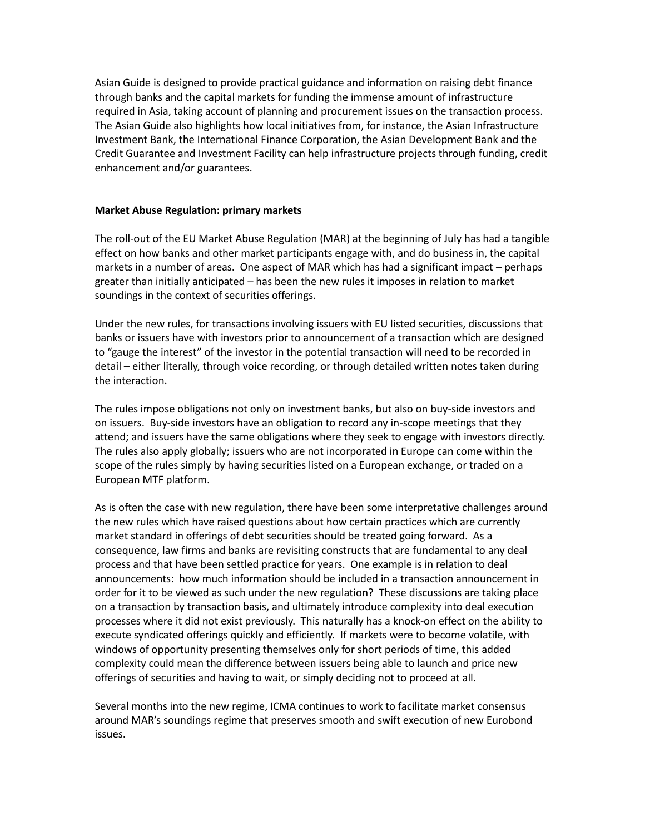Asian Guide is designed to provide practical guidance and information on raising debt finance through banks and the capital markets for funding the immense amount of infrastructure required in Asia, taking account of planning and procurement issues on the transaction process. The Asian Guide also highlights how local initiatives from, for instance, the Asian Infrastructure Investment Bank, the International Finance Corporation, the Asian Development Bank and the Credit Guarantee and Investment Facility can help infrastructure projects through funding, credit enhancement and/or guarantees.

#### **Market Abuse Regulation: primary markets**

The roll-out of the EU Market Abuse Regulation (MAR) at the beginning of July has had a tangible effect on how banks and other market participants engage with, and do business in, the capital markets in a number of areas. One aspect of MAR which has had a significant impact – perhaps greater than initially anticipated – has been the new rules it imposes in relation to market soundings in the context of securities offerings.

Under the new rules, for transactions involving issuers with EU listed securities, discussions that banks or issuers have with investors prior to announcement of a transaction which are designed to "gauge the interest" of the investor in the potential transaction will need to be recorded in detail – either literally, through voice recording, or through detailed written notes taken during the interaction.

The rules impose obligations not only on investment banks, but also on buy-side investors and on issuers. Buy-side investors have an obligation to record any in-scope meetings that they attend; and issuers have the same obligations where they seek to engage with investors directly. The rules also apply globally; issuers who are not incorporated in Europe can come within the scope of the rules simply by having securities listed on a European exchange, or traded on a European MTF platform.

As is often the case with new regulation, there have been some interpretative challenges around the new rules which have raised questions about how certain practices which are currently market standard in offerings of debt securities should be treated going forward. As a consequence, law firms and banks are revisiting constructs that are fundamental to any deal process and that have been settled practice for years. One example is in relation to deal announcements: how much information should be included in a transaction announcement in order for it to be viewed as such under the new regulation? These discussions are taking place on a transaction by transaction basis, and ultimately introduce complexity into deal execution processes where it did not exist previously. This naturally has a knock-on effect on the ability to execute syndicated offerings quickly and efficiently. If markets were to become volatile, with windows of opportunity presenting themselves only for short periods of time, this added complexity could mean the difference between issuers being able to launch and price new offerings of securities and having to wait, or simply deciding not to proceed at all.

Several months into the new regime, ICMA continues to work to facilitate market consensus around MAR's soundings regime that preserves smooth and swift execution of new Eurobond issues.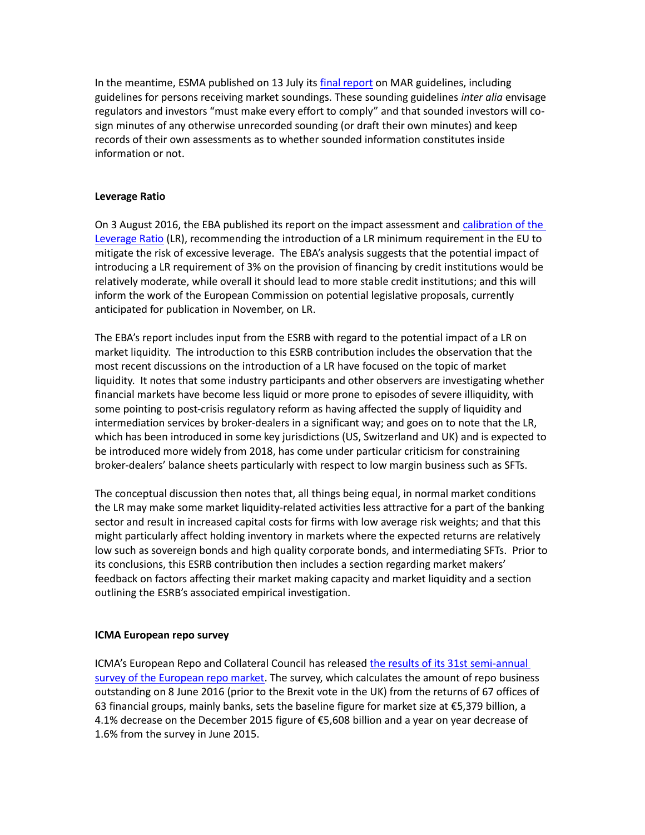In the meantime, ESMA published on 13 July its [final report](https://www.esma.europa.eu/sites/default/files/library/2016-1130_final_report_on_mar_guidelines.pdf) on MAR guidelines, including guidelines for persons receiving market soundings. These sounding guidelines *inter alia* envisage regulators and investors "must make every effort to comply" and that sounded investors will cosign minutes of any otherwise unrecorded sounding (or draft their own minutes) and keep records of their own assessments as to whether sounded information constitutes inside information or not.

### **Leverage Ratio**

On 3 August 2016, the EBA published its report on the impact assessment and [calibration of the](http://www.eba.europa.eu/-/eba-recommends-introducing-the-leverage-ratio-in-the-eu)  [Leverage Ratio](http://www.eba.europa.eu/-/eba-recommends-introducing-the-leverage-ratio-in-the-eu) (LR), recommending the introduction of a LR minimum requirement in the EU to mitigate the risk of excessive leverage. The EBA's analysis suggests that the potential impact of introducing a LR requirement of 3% on the provision of financing by credit institutions would be relatively moderate, while overall it should lead to more stable credit institutions; and this will inform the work of the European Commission on potential legislative proposals, currently anticipated for publication in November, on LR.

The EBA's report includes input from the ESRB with regard to the potential impact of a LR on market liquidity. The introduction to this ESRB contribution includes the observation that the most recent discussions on the introduction of a LR have focused on the topic of market liquidity. It notes that some industry participants and other observers are investigating whether financial markets have become less liquid or more prone to episodes of severe illiquidity, with some pointing to post-crisis regulatory reform as having affected the supply of liquidity and intermediation services by broker-dealers in a significant way; and goes on to note that the LR, which has been introduced in some key jurisdictions (US, Switzerland and UK) and is expected to be introduced more widely from 2018, has come under particular criticism for constraining broker-dealers' balance sheets particularly with respect to low margin business such as SFTs.

The conceptual discussion then notes that, all things being equal, in normal market conditions the LR may make some market liquidity-related activities less attractive for a part of the banking sector and result in increased capital costs for firms with low average risk weights; and that this might particularly affect holding inventory in markets where the expected returns are relatively low such as sovereign bonds and high quality corporate bonds, and intermediating SFTs. Prior to its conclusions, this ESRB contribution then includes a section regarding market makers' feedback on factors affecting their market making capacity and market liquidity and a section outlining the ESRB's associated empirical investigation.

## **ICMA European repo survey**

ICMA's European Repo and Collateral Council has released the results of its 31st semi-annual [survey of the European repo market.](http://www.icmagroup.org/assets/documents/Market-Info/Repo-Market-Surveys/No.-31-June-2016/ICMA-ERCC-European-Repo-Survey-June-2016.pdf) The survey, which calculates the amount of repo business outstanding on 8 June 2016 (prior to the Brexit vote in the UK) from the returns of 67 offices of 63 financial groups, mainly banks, sets the baseline figure for market size at €5,379 billion, a 4.1% decrease on the December 2015 figure of €5,608 billion and a year on year decrease of 1.6% from the survey in June 2015.